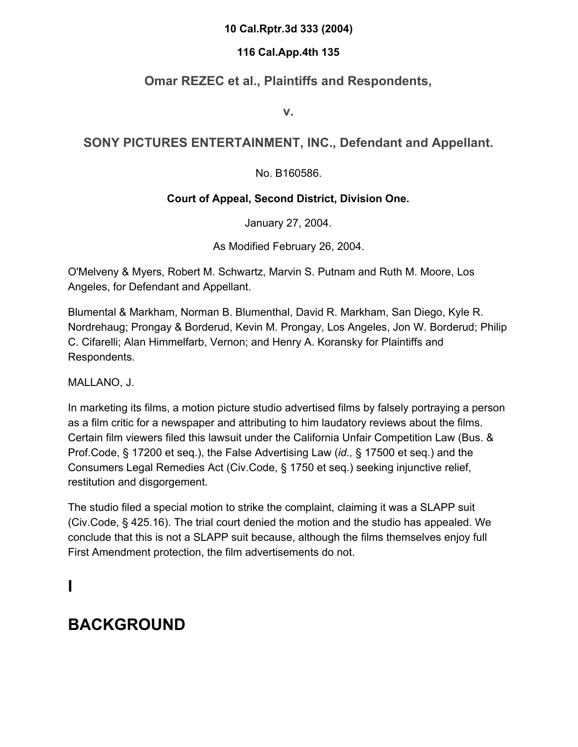#### **10 Cal.Rptr.3d 333 (2004)**

#### **116 Cal.App.4th 135**

### **Omar REZEC et al., Plaintiffs and Respondents,**

**v.**

### **SONY PICTURES ENTERTAINMENT, INC., Defendant and Appellant.**

#### No. B160586.

### **Court of Appeal, Second District, Division One.**

January 27, 2004.

As Modified February 26, 2004.

O'Melveny & Myers, Robert M. Schwartz, Marvin S. Putnam and Ruth M. Moore, Los Angeles, for Defendant and Appellant.

Blumental & Markham, Norman B. Blumenthal, David R. Markham, San Diego, Kyle R. Nordrehaug; Prongay & Borderud, Kevin M. Prongay, Los Angeles, Jon W. Borderud; Philip C. Cifarelli; Alan Himmelfarb, Vernon; and Henry A. Koransky for Plaintiffs and Respondents.

#### MALLANO, J.

In marketing its films, a motion picture studio advertised films by falsely portraying a person as a film critic for a newspaper and attributing to him laudatory reviews about the films. Certain film viewers filed this lawsuit under the California Unfair Competition Law (Bus. & Prof.Code, § 17200 et seq.), the False Advertising Law (*id.,* § 17500 et seq.) and the Consumers Legal Remedies Act (Civ.Code, § 1750 et seq.) seeking injunctive relief, restitution and disgorgement.

The studio filed a special motion to strike the complaint, claiming it was a SLAPP suit (Civ.Code, § 425.16). The trial court denied the motion and the studio has appealed. We conclude that this is not a SLAPP suit because, although the films themselves enjoy full First Amendment protection, the film advertisements do not.

## **I**

# **BACKGROUND**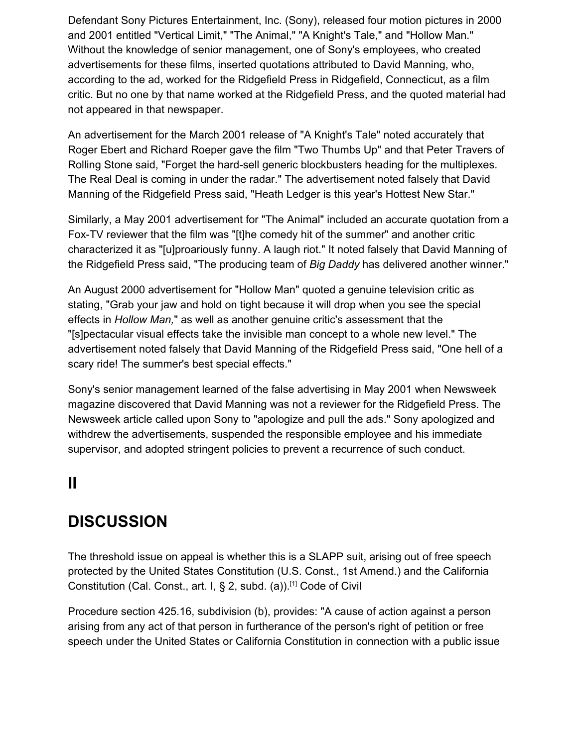Defendant Sony Pictures Entertainment, Inc. (Sony), released four motion pictures in 2000 and 2001 entitled "Vertical Limit," "The Animal," "A Knight's Tale," and "Hollow Man." Without the knowledge of senior management, one of Sony's employees, who created advertisements for these films, inserted quotations attributed to David Manning, who, according to the ad, worked for the Ridgefield Press in Ridgefield, Connecticut, as a film critic. But no one by that name worked at the Ridgefield Press, and the quoted material had not appeared in that newspaper.

An advertisement for the March 2001 release of "A Knight's Tale" noted accurately that Roger Ebert and Richard Roeper gave the film "Two Thumbs Up" and that Peter Travers of Rolling Stone said, "Forget the hard-sell generic blockbusters heading for the multiplexes. The Real Deal is coming in under the radar." The advertisement noted falsely that David Manning of the Ridgefield Press said, "Heath Ledger is this year's Hottest New Star."

Similarly, a May 2001 advertisement for "The Animal" included an accurate quotation from a Fox-TV reviewer that the film was "[t]he comedy hit of the summer" and another critic characterized it as "[u]proariously funny. A laugh riot." It noted falsely that David Manning of the Ridgefield Press said, "The producing team of *Big Daddy* has delivered another winner."

An August 2000 advertisement for "Hollow Man" quoted a genuine television critic as stating, "Grab your jaw and hold on tight because it will drop when you see the special effects in *Hollow Man,*" as well as another genuine critic's assessment that the "[s]pectacular visual effects take the invisible man concept to a whole new level." The advertisement noted falsely that David Manning of the Ridgefield Press said, "One hell of a scary ride! The summer's best special effects."

Sony's senior management learned of the false advertising in May 2001 when Newsweek magazine discovered that David Manning was not a reviewer for the Ridgefield Press. The Newsweek article called upon Sony to "apologize and pull the ads." Sony apologized and withdrew the advertisements, suspended the responsible employee and his immediate supervisor, and adopted stringent policies to prevent a recurrence of such conduct.

## **II**

## **DISCUSSION**

The threshold issue on appeal is whether this is a SLAPP suit, arising out of free speech protected by the United States Constitution (U.S. Const., 1st Amend.) and the California Constitution (Cal. Const., art. I, § 2, subd. (a)).[1] Code of Civil

Procedure section 425.16, subdivision (b), provides: "A cause of action against a person arising from any act of that person in furtherance of the person's right of petition or free speech under the United States or California Constitution in connection with a public issue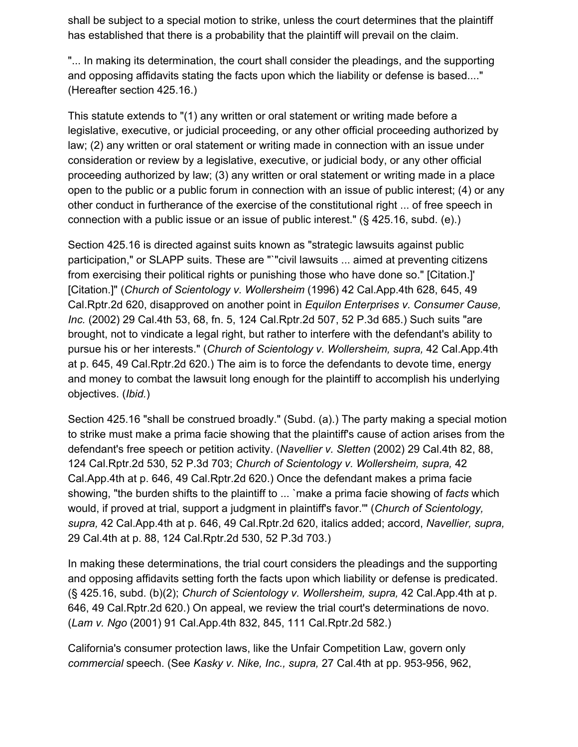shall be subject to a special motion to strike, unless the court determines that the plaintiff has established that there is a probability that the plaintiff will prevail on the claim.

"... In making its determination, the court shall consider the pleadings, and the supporting and opposing affidavits stating the facts upon which the liability or defense is based...." (Hereafter section 425.16.)

This statute extends to "(1) any written or oral statement or writing made before a legislative, executive, or judicial proceeding, or any other official proceeding authorized by law; (2) any written or oral statement or writing made in connection with an issue under consideration or review by a legislative, executive, or judicial body, or any other official proceeding authorized by law; (3) any written or oral statement or writing made in a place open to the public or a public forum in connection with an issue of public interest; (4) or any other conduct in furtherance of the exercise of the constitutional right ... of free speech in connection with a public issue or an issue of public interest." (§ 425.16, subd. (e).)

Section 425.16 is directed against suits known as "strategic lawsuits against public participation," or SLAPP suits. These are "`"civil lawsuits ... aimed at preventing citizens from exercising their political rights or punishing those who have done so." [Citation.]' [Citation.]" (*Church of Scientology v. Wollersheim* (1996) 42 Cal.App.4th 628, 645, 49 Cal.Rptr.2d 620, disapproved on another point in *Equilon Enterprises v. Consumer Cause, Inc.* (2002) 29 Cal.4th 53, 68, fn. 5, 124 Cal.Rptr.2d 507, 52 P.3d 685.) Such suits "are brought, not to vindicate a legal right, but rather to interfere with the defendant's ability to pursue his or her interests." (*Church of Scientology v. Wollersheim, supra,* 42 Cal.App.4th at p. 645, 49 Cal.Rptr.2d 620.) The aim is to force the defendants to devote time, energy and money to combat the lawsuit long enough for the plaintiff to accomplish his underlying objectives. (*Ibid.*)

Section 425.16 "shall be construed broadly." (Subd. (a).) The party making a special motion to strike must make a prima facie showing that the plaintiff's cause of action arises from the defendant's free speech or petition activity. (*Navellier v. Sletten* (2002) 29 Cal.4th 82, 88, 124 Cal.Rptr.2d 530, 52 P.3d 703; *Church of Scientology v. Wollersheim, supra,* 42 Cal.App.4th at p. 646, 49 Cal.Rptr.2d 620.) Once the defendant makes a prima facie showing, "the burden shifts to the plaintiff to ... `make a prima facie showing of *facts* which would, if proved at trial, support a judgment in plaintiff's favor.'" (*Church of Scientology, supra,* 42 Cal.App.4th at p. 646, 49 Cal.Rptr.2d 620, italics added; accord, *Navellier, supra,* 29 Cal.4th at p. 88, 124 Cal.Rptr.2d 530, 52 P.3d 703.)

In making these determinations, the trial court considers the pleadings and the supporting and opposing affidavits setting forth the facts upon which liability or defense is predicated. (§ 425.16, subd. (b)(2); *Church of Scientology v. Wollersheim, supra,* 42 Cal.App.4th at p. 646, 49 Cal.Rptr.2d 620.) On appeal, we review the trial court's determinations de novo. (*Lam v. Ngo* (2001) 91 Cal.App.4th 832, 845, 111 Cal.Rptr.2d 582.)

California's consumer protection laws, like the Unfair Competition Law, govern only *commercial* speech. (See *Kasky v. Nike, Inc., supra,* 27 Cal.4th at pp. 953-956, 962,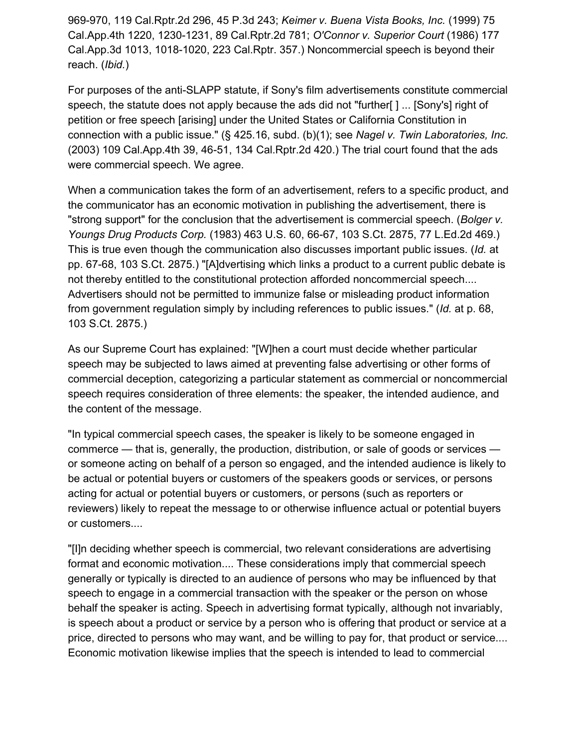969-970, 119 Cal.Rptr.2d 296, 45 P.3d 243; *Keimer v. Buena Vista Books, Inc.* (1999) 75 Cal.App.4th 1220, 1230-1231, 89 Cal.Rptr.2d 781; *O'Connor v. Superior Court* (1986) 177 Cal.App.3d 1013, 1018-1020, 223 Cal.Rptr. 357.) Noncommercial speech is beyond their reach. (*Ibid.*)

For purposes of the anti-SLAPP statute, if Sony's film advertisements constitute commercial speech, the statute does not apply because the ads did not "further[ ] ... [Sony's] right of petition or free speech [arising] under the United States or California Constitution in connection with a public issue." (§ 425.16, subd. (b)(1); see *Nagel v. Twin Laboratories, Inc.* (2003) 109 Cal.App.4th 39, 46-51, 134 Cal.Rptr.2d 420.) The trial court found that the ads were commercial speech. We agree.

When a communication takes the form of an advertisement, refers to a specific product, and the communicator has an economic motivation in publishing the advertisement, there is "strong support" for the conclusion that the advertisement is commercial speech. (*Bolger v. Youngs Drug Products Corp.* (1983) 463 U.S. 60, 66-67, 103 S.Ct. 2875, 77 L.Ed.2d 469.) This is true even though the communication also discusses important public issues. (*Id.* at pp. 67-68, 103 S.Ct. 2875.) "[A]dvertising which links a product to a current public debate is not thereby entitled to the constitutional protection afforded noncommercial speech.... Advertisers should not be permitted to immunize false or misleading product information from government regulation simply by including references to public issues." (*Id.* at p. 68, 103 S.Ct. 2875.)

As our Supreme Court has explained: "[W]hen a court must decide whether particular speech may be subjected to laws aimed at preventing false advertising or other forms of commercial deception, categorizing a particular statement as commercial or noncommercial speech requires consideration of three elements: the speaker, the intended audience, and the content of the message.

"In typical commercial speech cases, the speaker is likely to be someone engaged in commerce — that is, generally, the production, distribution, or sale of goods or services or someone acting on behalf of a person so engaged, and the intended audience is likely to be actual or potential buyers or customers of the speakers goods or services, or persons acting for actual or potential buyers or customers, or persons (such as reporters or reviewers) likely to repeat the message to or otherwise influence actual or potential buyers or customers....

"[I]n deciding whether speech is commercial, two relevant considerations are advertising format and economic motivation.... These considerations imply that commercial speech generally or typically is directed to an audience of persons who may be influenced by that speech to engage in a commercial transaction with the speaker or the person on whose behalf the speaker is acting. Speech in advertising format typically, although not invariably, is speech about a product or service by a person who is offering that product or service at a price, directed to persons who may want, and be willing to pay for, that product or service.... Economic motivation likewise implies that the speech is intended to lead to commercial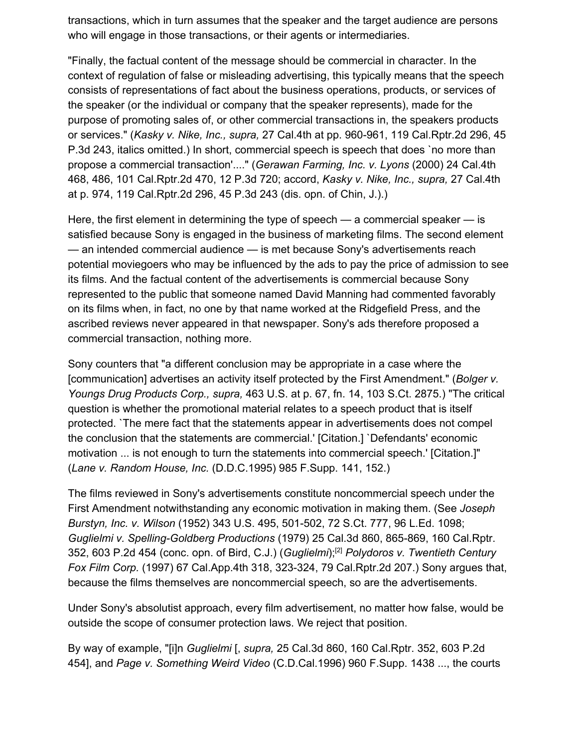transactions, which in turn assumes that the speaker and the target audience are persons who will engage in those transactions, or their agents or intermediaries.

"Finally, the factual content of the message should be commercial in character. In the context of regulation of false or misleading advertising, this typically means that the speech consists of representations of fact about the business operations, products, or services of the speaker (or the individual or company that the speaker represents), made for the purpose of promoting sales of, or other commercial transactions in, the speakers products or services." (*Kasky v. Nike, Inc., supra,* 27 Cal.4th at pp. 960-961, 119 Cal.Rptr.2d 296, 45 P.3d 243, italics omitted.) In short, commercial speech is speech that does `no more than propose a commercial transaction'...." (*Gerawan Farming, Inc. v. Lyons* (2000) 24 Cal.4th 468, 486, 101 Cal.Rptr.2d 470, 12 P.3d 720; accord, *Kasky v. Nike, Inc., supra,* 27 Cal.4th at p. 974, 119 Cal.Rptr.2d 296, 45 P.3d 243 (dis. opn. of Chin, J.).)

Here, the first element in determining the type of speech — a commercial speaker — is satisfied because Sony is engaged in the business of marketing films. The second element — an intended commercial audience — is met because Sony's advertisements reach potential moviegoers who may be influenced by the ads to pay the price of admission to see its films. And the factual content of the advertisements is commercial because Sony represented to the public that someone named David Manning had commented favorably on its films when, in fact, no one by that name worked at the Ridgefield Press, and the ascribed reviews never appeared in that newspaper. Sony's ads therefore proposed a commercial transaction, nothing more.

Sony counters that "a different conclusion may be appropriate in a case where the [communication] advertises an activity itself protected by the First Amendment." (*Bolger v. Youngs Drug Products Corp., supra,* 463 U.S. at p. 67, fn. 14, 103 S.Ct. 2875.) "The critical question is whether the promotional material relates to a speech product that is itself protected. `The mere fact that the statements appear in advertisements does not compel the conclusion that the statements are commercial.' [Citation.] `Defendants' economic motivation ... is not enough to turn the statements into commercial speech.' [Citation.]" (*Lane v. Random House, Inc.* (D.D.C.1995) 985 F.Supp. 141, 152.)

The films reviewed in Sony's advertisements constitute noncommercial speech under the First Amendment notwithstanding any economic motivation in making them. (See *Joseph Burstyn, Inc. v. Wilson* (1952) 343 U.S. 495, 501-502, 72 S.Ct. 777, 96 L.Ed. 1098; *Guglielmi v. Spelling-Goldberg Productions* (1979) 25 Cal.3d 860, 865-869, 160 Cal.Rptr. 352, 603 P.2d 454 (conc. opn. of Bird, C.J.) (*Guglielmi*);[2] *Polydoros v. Twentieth Century Fox Film Corp.* (1997) 67 Cal.App.4th 318, 323-324, 79 Cal.Rptr.2d 207.) Sony argues that, because the films themselves are noncommercial speech, so are the advertisements.

Under Sony's absolutist approach, every film advertisement, no matter how false, would be outside the scope of consumer protection laws. We reject that position.

By way of example, "[i]n *Guglielmi* [, *supra,* 25 Cal.3d 860, 160 Cal.Rptr. 352, 603 P.2d 454], and *Page v. Something Weird Video* (C.D.Cal.1996) 960 F.Supp. 1438 ..., the courts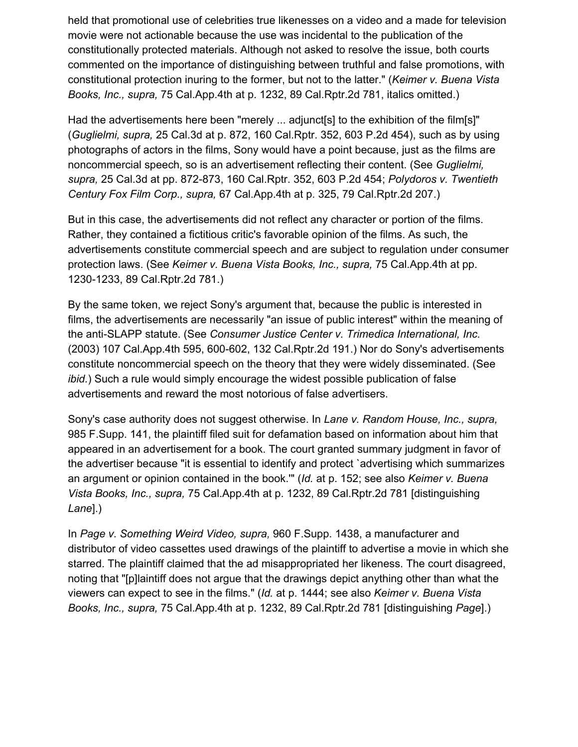held that promotional use of celebrities true likenesses on a video and a made for television movie were not actionable because the use was incidental to the publication of the constitutionally protected materials. Although not asked to resolve the issue, both courts commented on the importance of distinguishing between truthful and false promotions, with constitutional protection inuring to the former, but not to the latter." (*Keimer v. Buena Vista Books, Inc., supra,* 75 Cal.App.4th at p. 1232, 89 Cal.Rptr.2d 781, italics omitted.)

Had the advertisements here been "merely ... adjunct[s] to the exhibition of the film[s]" (*Guglielmi, supra,* 25 Cal.3d at p. 872, 160 Cal.Rptr. 352, 603 P.2d 454), such as by using photographs of actors in the films, Sony would have a point because, just as the films are noncommercial speech, so is an advertisement reflecting their content. (See *Guglielmi, supra,* 25 Cal.3d at pp. 872-873, 160 Cal.Rptr. 352, 603 P.2d 454; *Polydoros v. Twentieth Century Fox Film Corp., supra,* 67 Cal.App.4th at p. 325, 79 Cal.Rptr.2d 207.)

But in this case, the advertisements did not reflect any character or portion of the films. Rather, they contained a fictitious critic's favorable opinion of the films. As such, the advertisements constitute commercial speech and are subject to regulation under consumer protection laws. (See *Keimer v. Buena Vista Books, Inc., supra,* 75 Cal.App.4th at pp. 1230-1233, 89 Cal.Rptr.2d 781.)

By the same token, we reject Sony's argument that, because the public is interested in films, the advertisements are necessarily "an issue of public interest" within the meaning of the anti-SLAPP statute. (See *Consumer Justice Center v. Trimedica International, Inc.* (2003) 107 Cal.App.4th 595, 600-602, 132 Cal.Rptr.2d 191.) Nor do Sony's advertisements constitute noncommercial speech on the theory that they were widely disseminated. (See *ibid.*) Such a rule would simply encourage the widest possible publication of false advertisements and reward the most notorious of false advertisers.

Sony's case authority does not suggest otherwise. In *Lane v. Random House, Inc., supra,* 985 F.Supp. 141, the plaintiff filed suit for defamation based on information about him that appeared in an advertisement for a book. The court granted summary judgment in favor of the advertiser because "it is essential to identify and protect `advertising which summarizes an argument or opinion contained in the book.'" (*Id.* at p. 152; see also *Keimer v. Buena Vista Books, Inc., supra,* 75 Cal.App.4th at p. 1232, 89 Cal.Rptr.2d 781 [distinguishing *Lane*].)

In *Page v. Something Weird Video, supra,* 960 F.Supp. 1438, a manufacturer and distributor of video cassettes used drawings of the plaintiff to advertise a movie in which she starred. The plaintiff claimed that the ad misappropriated her likeness. The court disagreed, noting that "[p]laintiff does not argue that the drawings depict anything other than what the viewers can expect to see in the films." (*Id.* at p. 1444; see also *Keimer v. Buena Vista Books, Inc., supra,* 75 Cal.App.4th at p. 1232, 89 Cal.Rptr.2d 781 [distinguishing *Page*].)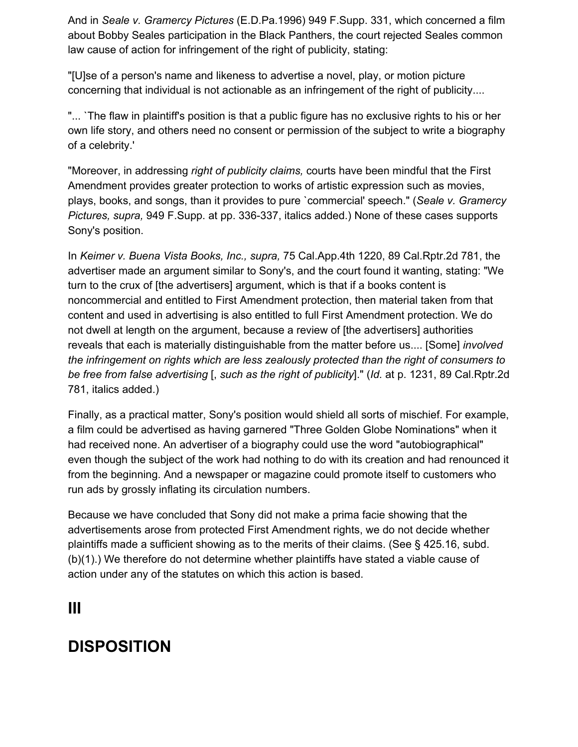And in *Seale v. Gramercy Pictures* (E.D.Pa.1996) 949 F.Supp. 331, which concerned a film about Bobby Seales participation in the Black Panthers, the court rejected Seales common law cause of action for infringement of the right of publicity, stating:

"[U]se of a person's name and likeness to advertise a novel, play, or motion picture concerning that individual is not actionable as an infringement of the right of publicity....

"... `The flaw in plaintiff's position is that a public figure has no exclusive rights to his or her own life story, and others need no consent or permission of the subject to write a biography of a celebrity.'

"Moreover, in addressing *right of publicity claims,* courts have been mindful that the First Amendment provides greater protection to works of artistic expression such as movies, plays, books, and songs, than it provides to pure `commercial' speech." (*Seale v. Gramercy Pictures, supra,* 949 F.Supp. at pp. 336-337, italics added.) None of these cases supports Sony's position.

In *Keimer v. Buena Vista Books, Inc., supra,* 75 Cal.App.4th 1220, 89 Cal.Rptr.2d 781, the advertiser made an argument similar to Sony's, and the court found it wanting, stating: "We turn to the crux of [the advertisers] argument, which is that if a books content is noncommercial and entitled to First Amendment protection, then material taken from that content and used in advertising is also entitled to full First Amendment protection. We do not dwell at length on the argument, because a review of [the advertisers] authorities reveals that each is materially distinguishable from the matter before us.... [Some] *involved the infringement on rights which are less zealously protected than the right of consumers to be free from false advertising* [, *such as the right of publicity*]." (*Id.* at p. 1231, 89 Cal.Rptr.2d 781, italics added.)

Finally, as a practical matter, Sony's position would shield all sorts of mischief. For example, a film could be advertised as having garnered "Three Golden Globe Nominations" when it had received none. An advertiser of a biography could use the word "autobiographical" even though the subject of the work had nothing to do with its creation and had renounced it from the beginning. And a newspaper or magazine could promote itself to customers who run ads by grossly inflating its circulation numbers.

Because we have concluded that Sony did not make a prima facie showing that the advertisements arose from protected First Amendment rights, we do not decide whether plaintiffs made a sufficient showing as to the merits of their claims. (See § 425.16, subd. (b)(1).) We therefore do not determine whether plaintiffs have stated a viable cause of action under any of the statutes on which this action is based.

### **III**

## **DISPOSITION**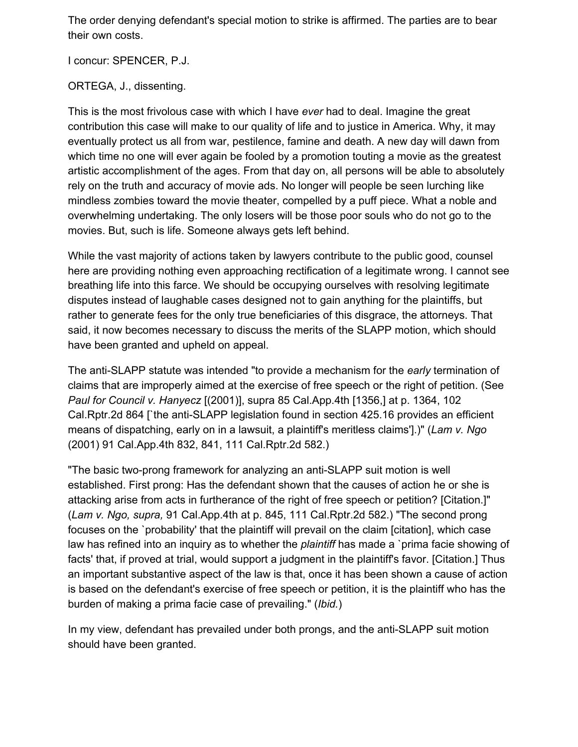The order denying defendant's special motion to strike is affirmed. The parties are to bear their own costs.

I concur: SPENCER, P.J.

ORTEGA, J., dissenting.

This is the most frivolous case with which I have *ever* had to deal. Imagine the great contribution this case will make to our quality of life and to justice in America. Why, it may eventually protect us all from war, pestilence, famine and death. A new day will dawn from which time no one will ever again be fooled by a promotion touting a movie as the greatest artistic accomplishment of the ages. From that day on, all persons will be able to absolutely rely on the truth and accuracy of movie ads. No longer will people be seen lurching like mindless zombies toward the movie theater, compelled by a puff piece. What a noble and overwhelming undertaking. The only losers will be those poor souls who do not go to the movies. But, such is life. Someone always gets left behind.

While the vast majority of actions taken by lawyers contribute to the public good, counsel here are providing nothing even approaching rectification of a legitimate wrong. I cannot see breathing life into this farce. We should be occupying ourselves with resolving legitimate disputes instead of laughable cases designed not to gain anything for the plaintiffs, but rather to generate fees for the only true beneficiaries of this disgrace, the attorneys. That said, it now becomes necessary to discuss the merits of the SLAPP motion, which should have been granted and upheld on appeal.

The anti-SLAPP statute was intended "to provide a mechanism for the *early* termination of claims that are improperly aimed at the exercise of free speech or the right of petition. (See *Paul for Council v. Hanyecz* [(2001)], supra 85 Cal.App.4th [1356,] at p. 1364, 102 Cal.Rptr.2d 864 [`the anti-SLAPP legislation found in section 425.16 provides an efficient means of dispatching, early on in a lawsuit, a plaintiff's meritless claims'].)" (*Lam v. Ngo* (2001) 91 Cal.App.4th 832, 841, 111 Cal.Rptr.2d 582.)

"The basic two-prong framework for analyzing an anti-SLAPP suit motion is well established. First prong: Has the defendant shown that the causes of action he or she is attacking arise from acts in furtherance of the right of free speech or petition? [Citation.]" (*Lam v. Ngo, supra,* 91 Cal.App.4th at p. 845, 111 Cal.Rptr.2d 582.) "The second prong focuses on the `probability' that the plaintiff will prevail on the claim [citation], which case law has refined into an inquiry as to whether the *plaintiff* has made a `prima facie showing of facts' that, if proved at trial, would support a judgment in the plaintiff's favor. [Citation.] Thus an important substantive aspect of the law is that, once it has been shown a cause of action is based on the defendant's exercise of free speech or petition, it is the plaintiff who has the burden of making a prima facie case of prevailing." (*Ibid.*)

In my view, defendant has prevailed under both prongs, and the anti-SLAPP suit motion should have been granted.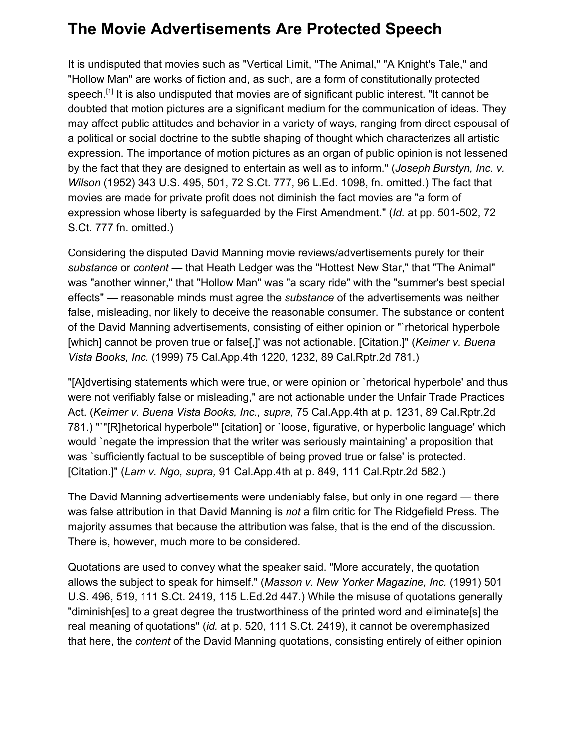# **The Movie Advertisements Are Protected Speech**

It is undisputed that movies such as "Vertical Limit, "The Animal," "A Knight's Tale," and "Hollow Man" are works of fiction and, as such, are a form of constitutionally protected speech.<sup>[1]</sup> It is also undisputed that movies are of significant public interest. "It cannot be doubted that motion pictures are a significant medium for the communication of ideas. They may affect public attitudes and behavior in a variety of ways, ranging from direct espousal of a political or social doctrine to the subtle shaping of thought which characterizes all artistic expression. The importance of motion pictures as an organ of public opinion is not lessened by the fact that they are designed to entertain as well as to inform." (*Joseph Burstyn, Inc. v. Wilson* (1952) 343 U.S. 495, 501, 72 S.Ct. 777, 96 L.Ed. 1098, fn. omitted.) The fact that movies are made for private profit does not diminish the fact movies are "a form of expression whose liberty is safeguarded by the First Amendment." (*Id.* at pp. 501-502, 72 S.Ct. 777 fn. omitted.)

Considering the disputed David Manning movie reviews/advertisements purely for their *substance* or *content* — that Heath Ledger was the "Hottest New Star," that "The Animal" was "another winner," that "Hollow Man" was "a scary ride" with the "summer's best special effects" — reasonable minds must agree the *substance* of the advertisements was neither false, misleading, nor likely to deceive the reasonable consumer. The substance or content of the David Manning advertisements, consisting of either opinion or "`rhetorical hyperbole [which] cannot be proven true or false[,]' was not actionable. [Citation.]" (*Keimer v. Buena Vista Books, Inc.* (1999) 75 Cal.App.4th 1220, 1232, 89 Cal.Rptr.2d 781.)

"[A]dvertising statements which were true, or were opinion or `rhetorical hyperbole' and thus were not verifiably false or misleading," are not actionable under the Unfair Trade Practices Act. (*Keimer v. Buena Vista Books, Inc., supra,* 75 Cal.App.4th at p. 1231, 89 Cal.Rptr.2d 781.) "`"[R]hetorical hyperbole"' [citation] or `loose, figurative, or hyperbolic language' which would `negate the impression that the writer was seriously maintaining' a proposition that was `sufficiently factual to be susceptible of being proved true or false' is protected. [Citation.]" (*Lam v. Ngo, supra,* 91 Cal.App.4th at p. 849, 111 Cal.Rptr.2d 582.)

The David Manning advertisements were undeniably false, but only in one regard — there was false attribution in that David Manning is *not* a film critic for The Ridgefield Press. The majority assumes that because the attribution was false, that is the end of the discussion. There is, however, much more to be considered.

Quotations are used to convey what the speaker said. "More accurately, the quotation allows the subject to speak for himself." (*Masson v. New Yorker Magazine, Inc.* (1991) 501 U.S. 496, 519, 111 S.Ct. 2419, 115 L.Ed.2d 447.) While the misuse of quotations generally "diminish[es] to a great degree the trustworthiness of the printed word and eliminate[s] the real meaning of quotations" (*id.* at p. 520, 111 S.Ct. 2419), it cannot be overemphasized that here, the *content* of the David Manning quotations, consisting entirely of either opinion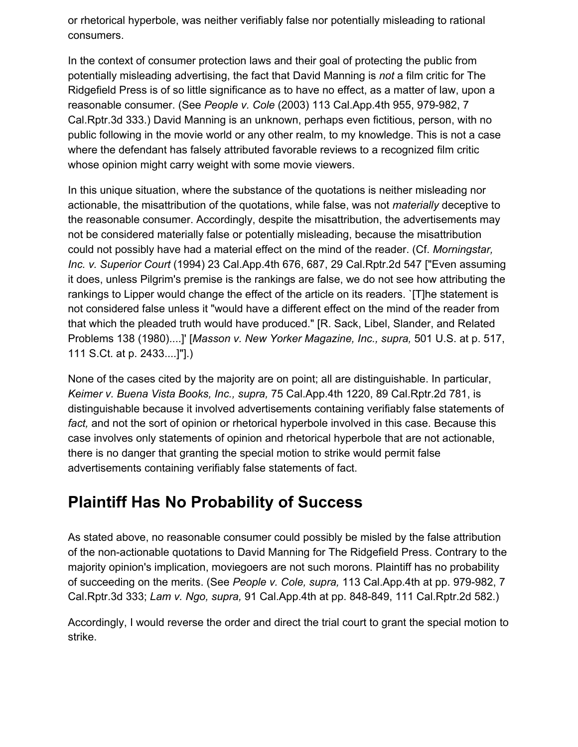or rhetorical hyperbole, was neither verifiably false nor potentially misleading to rational consumers.

In the context of consumer protection laws and their goal of protecting the public from potentially misleading advertising, the fact that David Manning is *not* a film critic for The Ridgefield Press is of so little significance as to have no effect, as a matter of law, upon a reasonable consumer. (See *People v. Cole* (2003) 113 Cal.App.4th 955, 979-982, 7 Cal.Rptr.3d 333.) David Manning is an unknown, perhaps even fictitious, person, with no public following in the movie world or any other realm, to my knowledge. This is not a case where the defendant has falsely attributed favorable reviews to a recognized film critic whose opinion might carry weight with some movie viewers.

In this unique situation, where the substance of the quotations is neither misleading nor actionable, the misattribution of the quotations, while false, was not *materially* deceptive to the reasonable consumer. Accordingly, despite the misattribution, the advertisements may not be considered materially false or potentially misleading, because the misattribution could not possibly have had a material effect on the mind of the reader. (Cf. *Morningstar, Inc. v. Superior Court* (1994) 23 Cal.App.4th 676, 687, 29 Cal.Rptr.2d 547 ["Even assuming it does, unless Pilgrim's premise is the rankings are false, we do not see how attributing the rankings to Lipper would change the effect of the article on its readers. `[T]he statement is not considered false unless it "would have a different effect on the mind of the reader from that which the pleaded truth would have produced." [R. Sack, Libel, Slander, and Related Problems 138 (1980)....]' [*Masson v. New Yorker Magazine, Inc., supra,* 501 U.S. at p. 517, 111 S.Ct. at p. 2433....]"].)

None of the cases cited by the majority are on point; all are distinguishable. In particular, *Keimer v. Buena Vista Books, Inc., supra,* 75 Cal.App.4th 1220, 89 Cal.Rptr.2d 781, is distinguishable because it involved advertisements containing verifiably false statements of *fact,* and not the sort of opinion or rhetorical hyperbole involved in this case. Because this case involves only statements of opinion and rhetorical hyperbole that are not actionable, there is no danger that granting the special motion to strike would permit false advertisements containing verifiably false statements of fact.

## **Plaintiff Has No Probability of Success**

As stated above, no reasonable consumer could possibly be misled by the false attribution of the non-actionable quotations to David Manning for The Ridgefield Press. Contrary to the majority opinion's implication, moviegoers are not such morons. Plaintiff has no probability of succeeding on the merits. (See *People v. Cole, supra,* 113 Cal.App.4th at pp. 979-982, 7 Cal.Rptr.3d 333; *Lam v. Ngo, supra,* 91 Cal.App.4th at pp. 848-849, 111 Cal.Rptr.2d 582.)

Accordingly, I would reverse the order and direct the trial court to grant the special motion to strike.